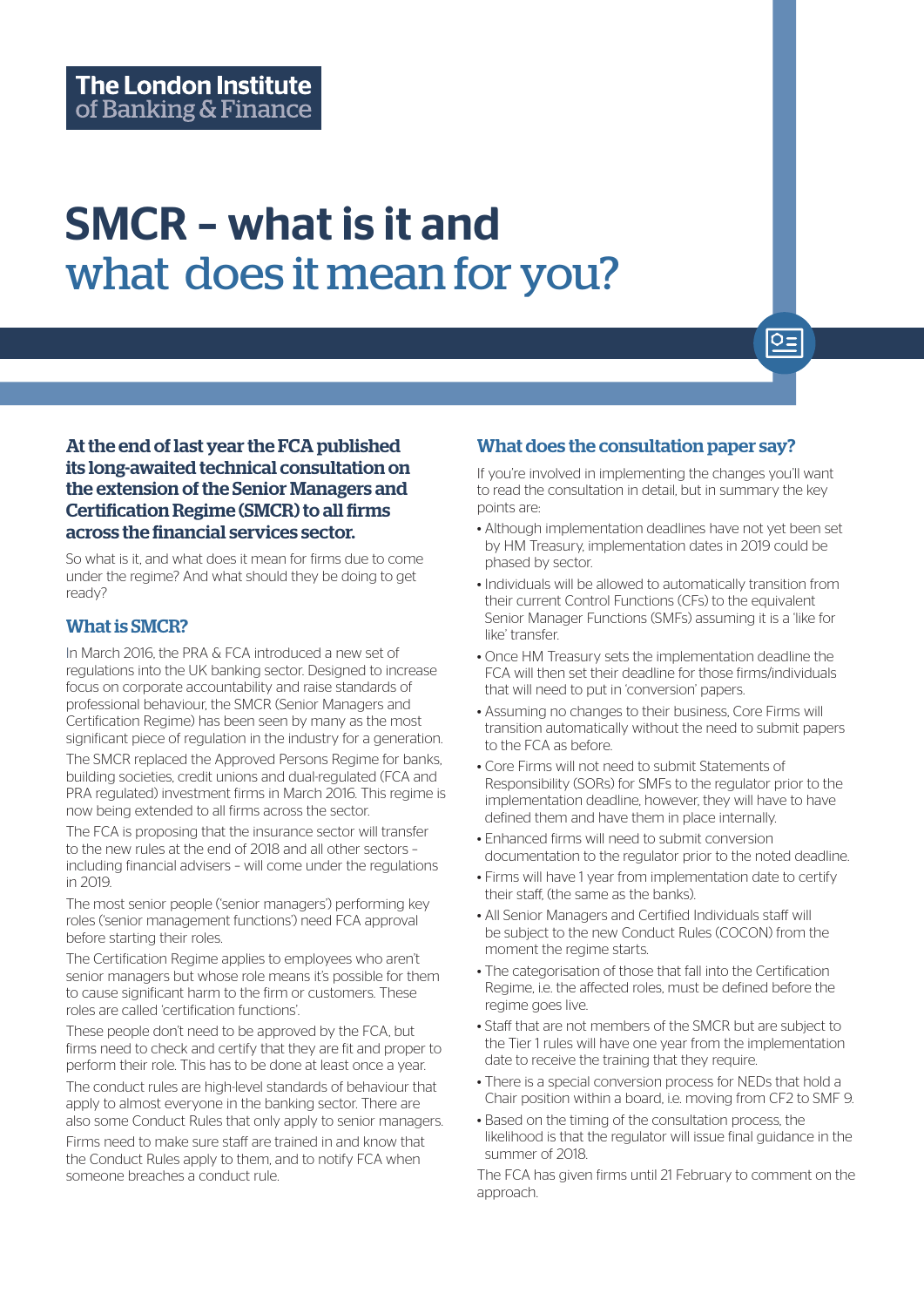# SMCR – what is it and what does it mean for you?

At the end of last year the FCA published its long-awaited technical consultation on the extension of the Senior Managers and Certification Regime (SMCR) to all firms across the financial services sector.

So what is it, and what does it mean for firms due to come under the regime? And what should they be doing to get ready?

## What is SMCR?

In March 2016, the PRA & FCA introduced a new set of regulations into the UK banking sector. Designed to increase focus on corporate accountability and raise standards of professional behaviour, the SMCR (Senior Managers and Certification Regime) has been seen by many as the most significant piece of regulation in the industry for a generation.

The SMCR replaced the Approved Persons Regime for banks, building societies, credit unions and dual-regulated (FCA and PRA regulated) investment firms in March 2016. This regime is now being extended to all firms across the sector.

The FCA is proposing that the insurance sector will transfer to the new rules at the end of 2018 and all other sectors – including financial advisers – will come under the regulations in 2019.

The most senior people ('senior managers') performing key roles ('senior management functions') need FCA approval before starting their roles.

The Certification Regime applies to employees who aren't senior managers but whose role means it's possible for them to cause significant harm to the firm or customers. These roles are called 'certification functions'.

These people don't need to be approved by the FCA, but firms need to check and certify that they are fit and proper to perform their role. This has to be done at least once a year.

The conduct rules are high-level standards of behaviour that apply to almost everyone in the banking sector. There are also some Conduct Rules that only apply to senior managers.

Firms need to make sure staff are trained in and know that the Conduct Rules apply to them, and to notify FCA when someone breaches a conduct rule.

## What does the consultation paper say?

If you're involved in implementing the changes you'll want to read the consultation in detail, but in summary the key points are:

 $Q =$ 

- Although implementation deadlines have not yet been set by HM Treasury, implementation dates in 2019 could be phased by sector.
- Individuals will be allowed to automatically transition from their current Control Functions (CFs) to the equivalent Senior Manager Functions (SMFs) assuming it is a 'like for like' transfer.
- Once HM Treasury sets the implementation deadline the FCA will then set their deadline for those firms/individuals that will need to put in 'conversion' papers.
- Assuming no changes to their business, Core Firms will transition automatically without the need to submit papers to the FCA as before.
- Core Firms will not need to submit Statements of Responsibility (SORs) for SMFs to the regulator prior to the implementation deadline, however, they will have to have defined them and have them in place internally.
- Enhanced firms will need to submit conversion documentation to the regulator prior to the noted deadline.
- Firms will have 1 year from implementation date to certify their staff, (the same as the banks).
- All Senior Managers and Certified Individuals staff will be subject to the new Conduct Rules (COCON) from the moment the regime starts.
- The categorisation of those that fall into the Certification Regime, i.e. the affected roles, must be defined before the regime goes live.
- Staff that are not members of the SMCR but are subject to the Tier 1 rules will have one year from the implementation date to receive the training that they require.
- There is a special conversion process for NEDs that hold a Chair position within a board, i.e. moving from CF2 to SMF 9.
- Based on the timing of the consultation process, the likelihood is that the regulator will issue final guidance in the summer of 2018.

The FCA has given firms until 21 February to comment on the approach.